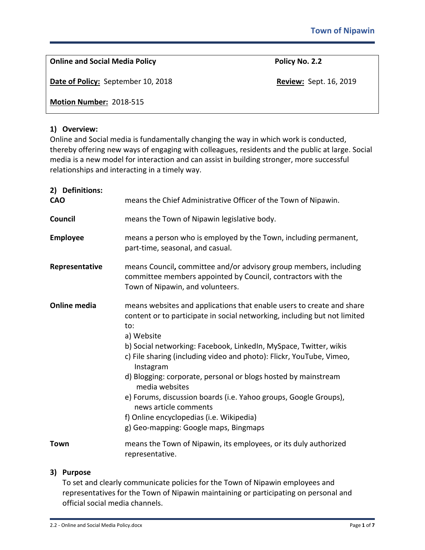| Policy No. 2.2                |
|-------------------------------|
| <b>Review: Sept. 16, 2019</b> |
|                               |
|                               |

# **1) Overview:**

Online and Social media is fundamentally changing the way in which work is conducted, thereby offering new ways of engaging with colleagues, residents and the public at large. Social media is a new model for interaction and can assist in building stronger, more successful relationships and interacting in a timely way.

| 2) Definitions:<br><b>CAO</b> | means the Chief Administrative Officer of the Town of Nipawin.                                                                                                                                                                                                                                                                                                                                                                                                                                                                                                                                          |
|-------------------------------|---------------------------------------------------------------------------------------------------------------------------------------------------------------------------------------------------------------------------------------------------------------------------------------------------------------------------------------------------------------------------------------------------------------------------------------------------------------------------------------------------------------------------------------------------------------------------------------------------------|
| Council                       | means the Town of Nipawin legislative body.                                                                                                                                                                                                                                                                                                                                                                                                                                                                                                                                                             |
| <b>Employee</b>               | means a person who is employed by the Town, including permanent,<br>part-time, seasonal, and casual.                                                                                                                                                                                                                                                                                                                                                                                                                                                                                                    |
| Representative                | means Council, committee and/or advisory group members, including<br>committee members appointed by Council, contractors with the<br>Town of Nipawin, and volunteers.                                                                                                                                                                                                                                                                                                                                                                                                                                   |
| <b>Online media</b>           | means websites and applications that enable users to create and share<br>content or to participate in social networking, including but not limited<br>to:<br>a) Website<br>b) Social networking: Facebook, LinkedIn, MySpace, Twitter, wikis<br>c) File sharing (including video and photo): Flickr, YouTube, Vimeo,<br>Instagram<br>d) Blogging: corporate, personal or blogs hosted by mainstream<br>media websites<br>e) Forums, discussion boards (i.e. Yahoo groups, Google Groups),<br>news article comments<br>f) Online encyclopedias (i.e. Wikipedia)<br>g) Geo-mapping: Google maps, Bingmaps |
| Town                          | means the Town of Nipawin, its employees, or its duly authorized<br>representative.                                                                                                                                                                                                                                                                                                                                                                                                                                                                                                                     |

# **3) Purpose**

To set and clearly communicate policies for the Town of Nipawin employees and representatives for the Town of Nipawin maintaining or participating on personal and official social media channels.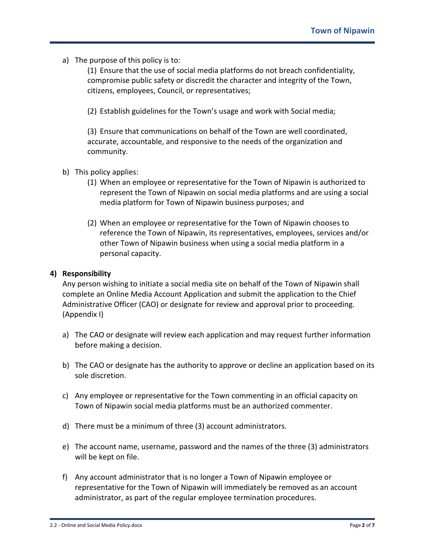a) The purpose of this policy is to:

(1) Ensure that the use of social media platforms do not breach confidentiality, compromise public safety or discredit the character and integrity of the Town, citizens, employees, Council, or representatives;

(2) Establish guidelines for the Town's usage and work with Social media;

(3) Ensure that communications on behalf of the Town are well coordinated, accurate, accountable, and responsive to the needs of the organization and community.

- b) This policy applies:
	- (1) When an employee or representative for the Town of Nipawin is authorized to represent the Town of Nipawin on social media platforms and are using a social media platform for Town of Nipawin business purposes; and
	- (2) When an employee or representative for the Town of Nipawin chooses to reference the Town of Nipawin, its representatives, employees, services and/or other Town of Nipawin business when using a social media platform in a personal capacity.

# **4) Responsibility**

Any person wishing to initiate a social media site on behalf of the Town of Nipawin shall complete an Online Media Account Application and submit the application to the Chief Administrative Officer (CAO) or designate for review and approval prior to proceeding. (Appendix I)

- a) The CAO or designate will review each application and may request further information before making a decision.
- b) The CAO or designate has the authority to approve or decline an application based on its sole discretion.
- c) Any employee or representative for the Town commenting in an official capacity on Town of Nipawin social media platforms must be an authorized commenter.
- d) There must be a minimum of three (3) account administrators.
- e) The account name, username, password and the names of the three (3) administrators will be kept on file.
- f) Any account administrator that is no longer a Town of Nipawin employee or representative for the Town of Nipawin will immediately be removed as an account administrator, as part of the regular employee termination procedures.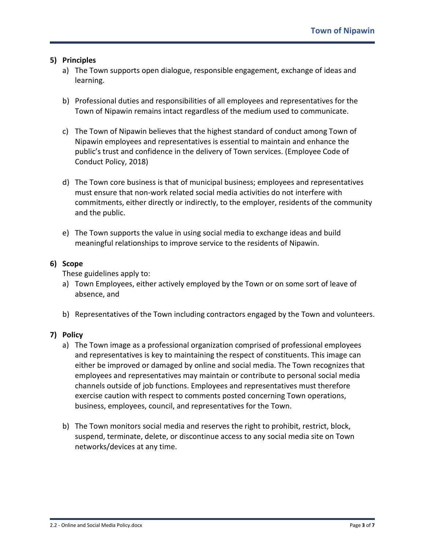# **5) Principles**

- a) The Town supports open dialogue, responsible engagement, exchange of ideas and learning.
- b) Professional duties and responsibilities of all employees and representatives for the Town of Nipawin remains intact regardless of the medium used to communicate.
- c) The Town of Nipawin believes that the highest standard of conduct among Town of Nipawin employees and representatives is essential to maintain and enhance the public's trust and confidence in the delivery of Town services. (Employee Code of Conduct Policy, 2018)
- d) The Town core business is that of municipal business; employees and representatives must ensure that non-work related social media activities do not interfere with commitments, either directly or indirectly, to the employer, residents of the community and the public.
- e) The Town supports the value in using social media to exchange ideas and build meaningful relationships to improve service to the residents of Nipawin.

# **6) Scope**

These guidelines apply to:

- a) Town Employees, either actively employed by the Town or on some sort of leave of absence, and
- b) Representatives of the Town including contractors engaged by the Town and volunteers.

# **7) Policy**

- a) The Town image as a professional organization comprised of professional employees and representatives is key to maintaining the respect of constituents. This image can either be improved or damaged by online and social media. The Town recognizes that employees and representatives may maintain or contribute to personal social media channels outside of job functions. Employees and representatives must therefore exercise caution with respect to comments posted concerning Town operations, business, employees, council, and representatives for the Town.
- b) The Town monitors social media and reserves the right to prohibit, restrict, block, suspend, terminate, delete, or discontinue access to any social media site on Town networks/devices at any time.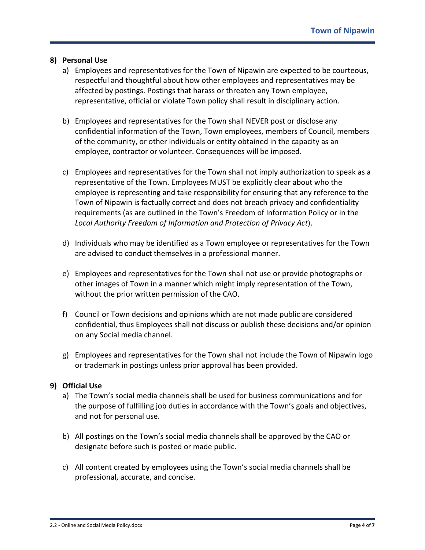# **8) Personal Use**

- a) Employees and representatives for the Town of Nipawin are expected to be courteous, respectful and thoughtful about how other employees and representatives may be affected by postings. Postings that harass or threaten any Town employee, representative, official or violate Town policy shall result in disciplinary action.
- b) Employees and representatives for the Town shall NEVER post or disclose any confidential information of the Town, Town employees, members of Council, members of the community, or other individuals or entity obtained in the capacity as an employee, contractor or volunteer. Consequences will be imposed.
- c) Employees and representatives for the Town shall not imply authorization to speak as a representative of the Town. Employees MUST be explicitly clear about who the employee is representing and take responsibility for ensuring that any reference to the Town of Nipawin is factually correct and does not breach privacy and confidentiality requirements (as are outlined in the Town's Freedom of Information Policy or in the *Local Authority Freedom of Information and Protection of Privacy Act*).
- d) Individuals who may be identified as a Town employee or representatives for the Town are advised to conduct themselves in a professional manner.
- e) Employees and representatives for the Town shall not use or provide photographs or other images of Town in a manner which might imply representation of the Town, without the prior written permission of the CAO.
- f) Council or Town decisions and opinions which are not made public are considered confidential, thus Employees shall not discuss or publish these decisions and/or opinion on any Social media channel.
- g) Employees and representatives for the Town shall not include the Town of Nipawin logo or trademark in postings unless prior approval has been provided.

# **9) Official Use**

- a) The Town's social media channels shall be used for business communications and for the purpose of fulfilling job duties in accordance with the Town's goals and objectives, and not for personal use.
- b) All postings on the Town's social media channels shall be approved by the CAO or designate before such is posted or made public.
- c) All content created by employees using the Town's social media channels shall be professional, accurate, and concise.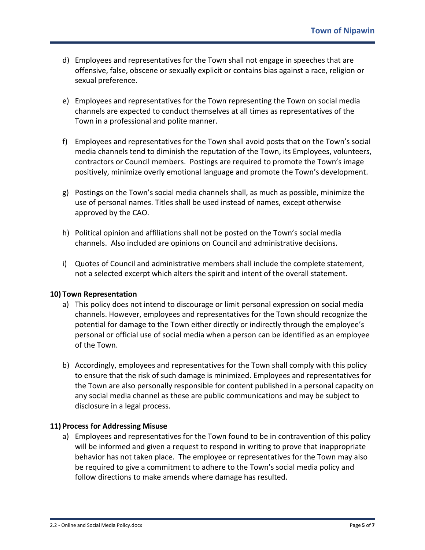- d) Employees and representatives for the Town shall not engage in speeches that are offensive, false, obscene or sexually explicit or contains bias against a race, religion or sexual preference.
- e) Employees and representatives for the Town representing the Town on social media channels are expected to conduct themselves at all times as representatives of the Town in a professional and polite manner.
- f) Employees and representatives for the Town shall avoid posts that on the Town's social media channels tend to diminish the reputation of the Town, its Employees, volunteers, contractors or Council members. Postings are required to promote the Town's image positively, minimize overly emotional language and promote the Town's development.
- g) Postings on the Town's social media channels shall, as much as possible, minimize the use of personal names. Titles shall be used instead of names, except otherwise approved by the CAO.
- h) Political opinion and affiliations shall not be posted on the Town's social media channels. Also included are opinions on Council and administrative decisions.
- i) Quotes of Council and administrative members shall include the complete statement, not a selected excerpt which alters the spirit and intent of the overall statement.

# **10) Town Representation**

- a) This policy does not intend to discourage or limit personal expression on social media channels. However, employees and representatives for the Town should recognize the potential for damage to the Town either directly or indirectly through the employee's personal or official use of social media when a person can be identified as an employee of the Town.
- b) Accordingly, employees and representatives for the Town shall comply with this policy to ensure that the risk of such damage is minimized. Employees and representatives for the Town are also personally responsible for content published in a personal capacity on any social media channel as these are public communications and may be subject to disclosure in a legal process.

# **11) Process for Addressing Misuse**

a) Employees and representatives for the Town found to be in contravention of this policy will be informed and given a request to respond in writing to prove that inappropriate behavior has not taken place. The employee or representatives for the Town may also be required to give a commitment to adhere to the Town's social media policy and follow directions to make amends where damage has resulted.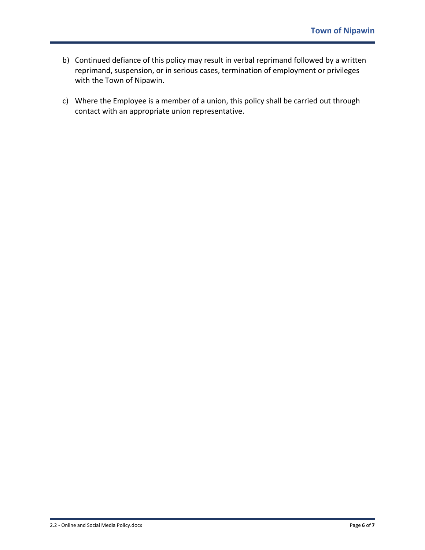- b) Continued defiance of this policy may result in verbal reprimand followed by a written reprimand, suspension, or in serious cases, termination of employment or privileges with the Town of Nipawin.
- c) Where the Employee is a member of a union, this policy shall be carried out through contact with an appropriate union representative.